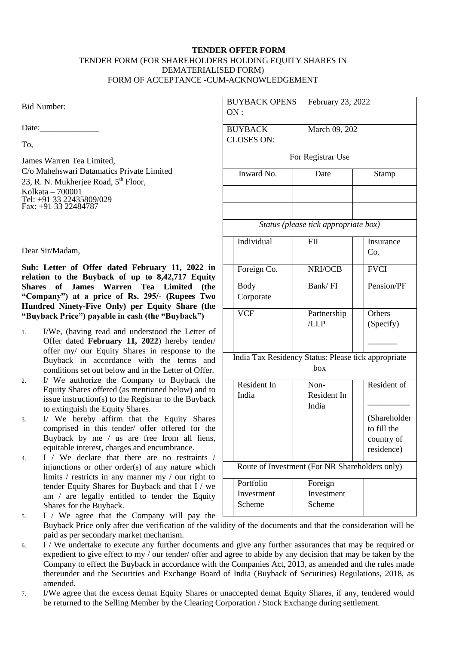## **TENDER OFFER FORM** TENDER FORM (FOR SHAREHOLDERS HOLDING EQUITY SHARES IN DEMATERIALISED FORM) FORM OF ACCEPTANCE -CUM-ACKNOWLEDGEMENT

Bid Number:

Date:

To,

James Warren Tea Limited, C/o Mahehswari Datamatics Private Limited 23, R. N. Mukherjee Road, 5<sup>th</sup> Floor, Kolkata – 700001 Tel: +91 33 22435809/029 Fax: +91 33 22484787

Dear Sir/Madam,

**Sub: Letter of Offer dated February 11, 2022 in relation to the Buyback of up to 8,42,717 Equity Shares of James Warren Tea Limited (the "Company") at a price of Rs. 295/- (Rupees Two Hundred Ninety-Five Only) per Equity Share (the "Buyback Price") payable in cash (the "Buyback")**

- 1. I/We, (having read and understood the Letter of Offer dated **February 11, 2022**) hereby tender/ offer my/ our Equity Shares in response to the Buyback in accordance with the terms and conditions set out below and in the Letter of Offer.
- 2. I/ We authorize the Company to Buyback the Equity Shares offered (as mentioned below) and to issue instruction(s) to the Registrar to the Buyback to extinguish the Equity Shares.
- 3. I/ We hereby affirm that the Equity Shares comprised in this tender/ offer offered for the Buyback by me / us are free from all liens, equitable interest, charges and encumbrance.
- 4. I / We declare that there are no restraints / injunctions or other order(s) of any nature which limits / restricts in any manner my / our right to tender Equity Shares for Buyback and that I / we am / are legally entitled to tender the Equity Shares for the Buyback. 5. I / We agree that the Company will pay the  $\Box$

| <b>BUYBACK OPENS</b>                                | February 23, 2022                              |                             |
|-----------------------------------------------------|------------------------------------------------|-----------------------------|
| ON:                                                 |                                                |                             |
| <b>BUYBACK</b>                                      | March 09, 202                                  |                             |
| <b>CLOSES ON:</b>                                   |                                                |                             |
|                                                     | For Registrar Use                              |                             |
| Inward No.                                          | Date                                           | Stamp                       |
|                                                     |                                                |                             |
|                                                     |                                                |                             |
|                                                     |                                                |                             |
|                                                     | Status (please tick appropriate box)           |                             |
| Individual                                          | <b>FII</b>                                     | Insurance                   |
|                                                     |                                                | Co.                         |
| Foreign Co.                                         | NRI/OCB                                        | <b>FVCI</b>                 |
| <b>Body</b>                                         | Bank/FI                                        | Pension/PF                  |
| Corporate                                           |                                                |                             |
| <b>VCF</b>                                          | Partnership                                    | Others                      |
|                                                     | /LLP                                           | (Specify)                   |
|                                                     |                                                |                             |
| India Tax Residency Status: Please tick appropriate |                                                |                             |
|                                                     | box                                            |                             |
| Resident In                                         | Non-                                           | Resident of                 |
| India                                               | Resident In                                    |                             |
|                                                     | India                                          |                             |
|                                                     |                                                | (Shareholder<br>to fill the |
|                                                     |                                                | country of                  |
|                                                     |                                                | residence)                  |
|                                                     | Route of Investment (For NR Shareholders only) |                             |
| Portfolio                                           | Foreign                                        |                             |
| Investment                                          | Investment                                     |                             |
| Scheme                                              | Scheme                                         |                             |

Buyback Price only after due verification of the validity of the documents and that the consideration will be paid as per secondary market mechanism.

- 6. I / We undertake to execute any further documents and give any further assurances that may be required or expedient to give effect to my / our tender/ offer and agree to abide by any decision that may be taken by the Company to effect the Buyback in accordance with the Companies Act, 2013, as amended and the rules made thereunder and the Securities and Exchange Board of India (Buyback of Securities) Regulations, 2018, as amended.
- 7. I/We agree that the excess demat Equity Shares or unaccepted demat Equity Shares, if any, tendered would be returned to the Selling Member by the Clearing Corporation / Stock Exchange during settlement.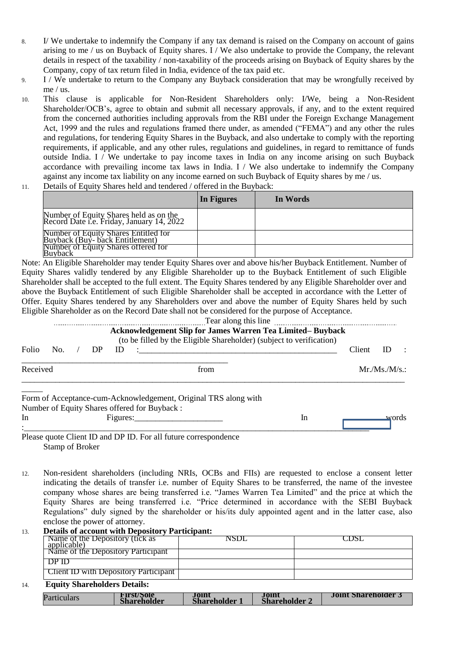- 8. I/ We undertake to indemnify the Company if any tax demand is raised on the Company on account of gains arising to me / us on Buyback of Equity shares. I / We also undertake to provide the Company, the relevant details in respect of the taxability / non-taxability of the proceeds arising on Buyback of Equity shares by the Company, copy of tax return filed in India, evidence of the tax paid etc.
- 9. I / We undertake to return to the Company any Buyback consideration that may be wrongfully received by me / us.
- 10. This clause is applicable for Non-Resident Shareholders only: I/We, being a Non-Resident Shareholder/OCB's, agree to obtain and submit all necessary approvals, if any, and to the extent required from the concerned authorities including approvals from the RBI under the Foreign Exchange Management Act, 1999 and the rules and regulations framed there under, as amended ("FEMA") and any other the rules and regulations, for tendering Equity Shares in the Buyback, and also undertake to comply with the reporting requirements, if applicable, and any other rules, regulations and guidelines, in regard to remittance of funds outside India. I / We undertake to pay income taxes in India on any income arising on such Buyback accordance with prevailing income tax laws in India. I / We also undertake to indemnify the Company against any income tax liability on any income earned on such Buyback of Equity shares by me / us. 11. Details of Equity Shares held and tendered / offered in the Buyback:
- 

|                                                                                     | In Figures | In Words |
|-------------------------------------------------------------------------------------|------------|----------|
| Number of Equity Shares held as on the<br>Record Date i.e. Friday, January 14, 2022 |            |          |
| Number of Equity Shares Entitled for<br>Buyback (Buy-back Entitlement)              |            |          |
| Number of Equity Shares offered for<br>Buyback                                      |            |          |

Note: An Eligible Shareholder may tender Equity Shares over and above his/her Buyback Entitlement. Number of Equity Shares validly tendered by any Eligible Shareholder up to the Buyback Entitlement of such Eligible Shareholder shall be accepted to the full extent. The Equity Shares tendered by any Eligible Shareholder over and above the Buyback Entitlement of such Eligible Shareholder shall be accepted in accordance with the Letter of Offer. Equity Shares tendered by any Shareholders over and above the number of Equity Shares held by such Eligible Shareholder as on the Record Date shall not be considered for the purpose of Acceptance.

|          |     |    |     | <b>Acknowledgement Slip for James Warren Tea Limited– Buyback</b><br>(to be filled by the Eligible Shareholder) (subject to verification) |  |    |        |            |  |
|----------|-----|----|-----|-------------------------------------------------------------------------------------------------------------------------------------------|--|----|--------|------------|--|
| Folio    | No. | DP | ID) | <u> 1980 - Johann Stein, marwolaethau a bhann an t-</u>                                                                                   |  |    | Client | ID         |  |
| Received |     |    |     | from                                                                                                                                      |  |    |        | Mr.Ms.M/s. |  |
|          |     |    |     | Form of Acceptance-cum-Acknowledgement, Original TRS along with<br>Number of Equity Shares offered for Buyback:                           |  |    |        |            |  |
| In       |     |    |     | Figures: Figures:                                                                                                                         |  | In |        | words      |  |
|          |     |    |     | Please quote Client ID and DP ID. For all future correspondence                                                                           |  |    |        |            |  |

Stamp of Broker

12. Non-resident shareholders (including NRIs, OCBs and FIIs) are requested to enclose a consent letter indicating the details of transfer i.e. number of Equity Shares to be transferred, the name of the investee company whose shares are being transferred i.e. "James Warren Tea Limited" and the price at which the Equity Shares are being transferred i.e. "Price determined in accordance with the SEBI Buyback Regulations" duly signed by the shareholder or his/its duly appointed agent and in the latter case, also enclose the power of attorney.

# 13. **Details of account with Depository Participant:**

| Name of the Depository (tick as<br>applicable) | NSDI |  |
|------------------------------------------------|------|--|
| Name of the Depository Participant             |      |  |
| 1)P 11)                                        |      |  |
| Client ID with Depository Participant          |      |  |

## 14. **Equity Shareholders Details:**

| Particulars | First/Sole<br>Shareholder | Joint<br><b>Shareholder</b> | Joint<br><b>Shareholder 2</b> | <b>Joint Shareholder</b> |
|-------------|---------------------------|-----------------------------|-------------------------------|--------------------------|
|-------------|---------------------------|-----------------------------|-------------------------------|--------------------------|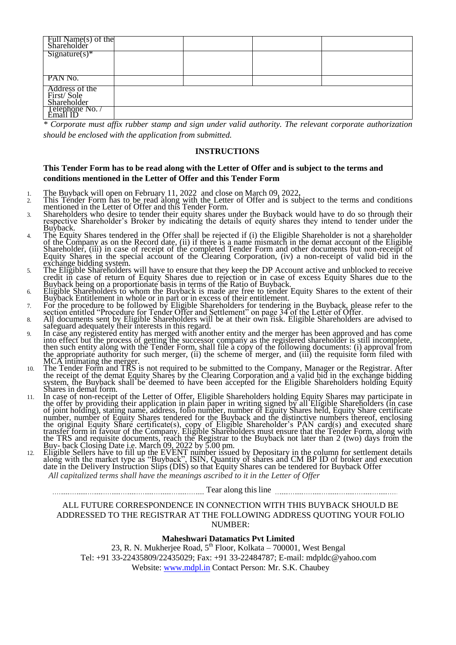| Full Name(s) of the<br>Shareholder |  |  |
|------------------------------------|--|--|
| $Sigma(x)*$                        |  |  |
|                                    |  |  |
|                                    |  |  |
| PAN No.                            |  |  |
| Address of the                     |  |  |
| First/Sole                         |  |  |
| Shareholder                        |  |  |
| Telephone No. /<br>Email ID        |  |  |
|                                    |  |  |

*\* Corporate must affix rubber stamp and sign under valid authority. The relevant corporate authorization should be enclosed with the application from submitted.* 

#### **INSTRUCTIONS**

## **This Tender Form has to be read along with the Letter of Offer and is subject to the terms and conditions mentioned in the Letter of Offer and this Tender Form**

- 1. The Buyback will open on February 11, 2022 and close on March 09, 2022**.**
- 2. This Tender Form has to be read along with the Letter of Offer and is subject to the terms and conditions mentioned in the Letter of Offer and this Tender Form.
- 3. Shareholders who desire to tender their equity shares under the Buyback would have to do so through their respective Shareholder's Broker by indicating the details of equity shares they intend to tender under the Buyback.
- 4. The Equity Shares tendered in the Offer shall be rejected if (i) the Eligible Shareholder is not a shareholder of the Company as on the Record date, (ii) if there is a name mismatch in the demat account of the Eligible Shareholder, (iii) in case of receipt of the completed Tender Form and other documents but non-receipt of Equity Shares in the special account of the Clearing Corporation, (iv) a non-receipt of valid bid in the exchange bidding system.
- 5. The Eligible Shareholders will have to ensure that they keep the DP Account active and unblocked to receive credit in case of return of Equity Shares due to rejection or in case of excess Equity Shares due to the Buyback being on a proportionate basis in terms of the Ratio of Buyback.
- 6. Eligible Shareholders to whom the Buyback is made are free to tender Equity Shares to the extent of their Buyback Entitlement in whole or in part or in excess of their entitlement.
- 7. For the procedure to be followed by Eligible Shareholders for tendering in the Buyback, please refer to the section entitled "Procedure for Tender Offer and Settlement" on page 34 of the Letter of Offer.
- 8. All documents sent by Eligible Shareholders will be at their own risk. Eligible Shareholders are advised to safeguard adequately their interests in this regard.
- 9. In case any registered entity has merged with another entity and the merger has been approved and has come into effect but the process of getting the successor company as the registered shareholder is still incomplete, then such entity along with the Tender Form, shall file a copy of the following documents: (i) approval from the appropriate authority for such merger, (ii) the scheme of merger, and (iii) the requisite form filed with MCA intimating the merger.
- 10. The Tender Form and TRS is not required to be submitted to the Company, Manager or the Registrar. After the receipt of the demat Equity Shares by the Clearing Corporation and a valid bid in the exchange bidding system, the Buyback shall be deemed to have been accepted for the Eligible Shareholders holding Equity Shares in demat form.
- 11. In case of non-receipt of the Letter of Offer, Eligible Shareholders holding Equity Shares may participate in the offer by providing their application in plain paper in writing signed by all Eligible Shareholders (in case of joint holding), stating name, address, folio number, number of Equity Shares held, Equity Share certificate number, number of Equity Shares tendered for the Buyback and the distinctive numbers thereof, enclosing the original Equity Share certificate(s), copy of Eligible Shareholder's PAN card(s) and executed share transfer form in favour of the Company. Eligible Shareholders must ensure that the Tender Form, along with the TRS and requisite documents, reach the Registrar to the Buyback not later than 2 (two) days from the Buy- back Closing Date i.e. March 09, 2022 by 5.00 pm.
- 12. Eligible Sellers have to fill up the EVENT number issued by Depositary in the column for settlement details along with the market type as "Buyback", ISIN, Quantity of shares and CM BP ID of broker and execution date in the Delivery Instruction Slips (DIS) so that Equity Shares can be tendered for Buyback Offer *All capitalized terms shall have the meanings ascribed to it in the Letter of Offer*

Tear along this line

### ALL FUTURE CORRESPONDENCE IN CONNECTION WITH THIS BUYBACK SHOULD BE ADDRESSED TO THE REGISTRAR AT THE FOLLOWING ADDRESS QUOTING YOUR FOLIO NUMBER:

### **Maheshwari Datamatics Pvt Limited**

23, R. N. Mukherjee Road,  $5<sup>th</sup>$  Floor, Kolkata – 700001, West Bengal Tel: +91 33-22435809/22435029; Fax: +91 33-22484787; E-mail: mdpldc@yahoo.com Website: [www.mdpl.in](http://www.mdpl.in/) Contact Person: Mr. S.K. Chaubey